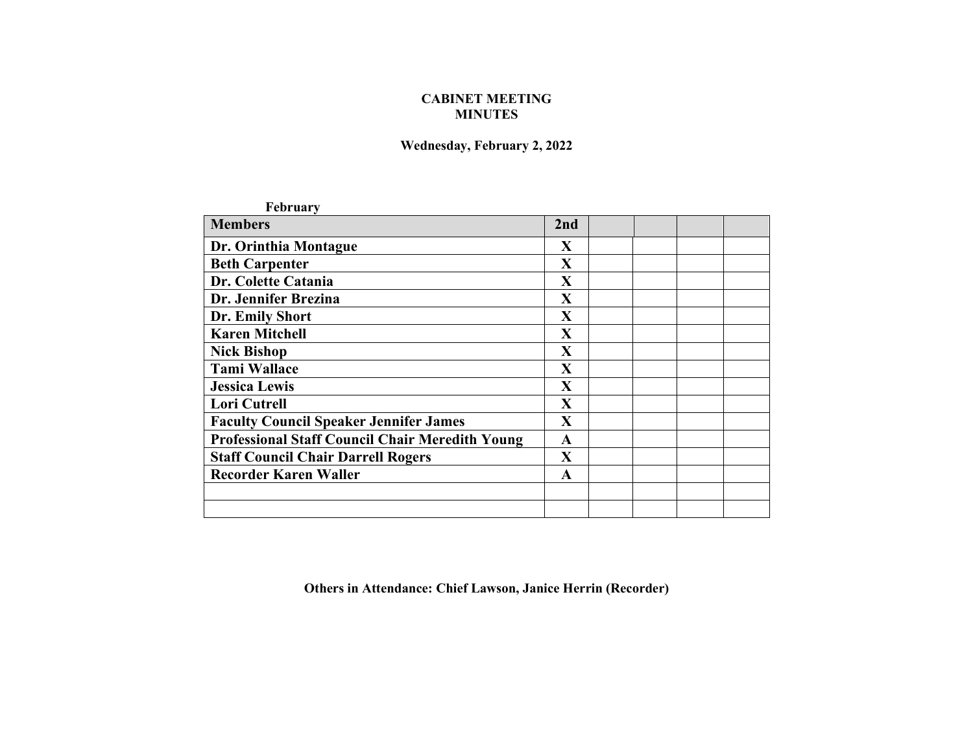## **CABINET MEETING MINUTES**

## **Wednesday, February 2, 2022**

| <b>February</b>                                        |              |  |  |
|--------------------------------------------------------|--------------|--|--|
| <b>Members</b>                                         | 2nd          |  |  |
| Dr. Orinthia Montague                                  | X            |  |  |
| <b>Beth Carpenter</b>                                  | X            |  |  |
| Dr. Colette Catania                                    | X            |  |  |
| Dr. Jennifer Brezina                                   | X            |  |  |
| Dr. Emily Short                                        | X            |  |  |
| <b>Karen Mitchell</b>                                  | $\mathbf{X}$ |  |  |
| <b>Nick Bishop</b>                                     | $\mathbf X$  |  |  |
| <b>Tami Wallace</b>                                    | $\mathbf X$  |  |  |
| <b>Jessica Lewis</b>                                   | $\mathbf X$  |  |  |
| <b>Lori Cutrell</b>                                    | $\mathbf X$  |  |  |
| <b>Faculty Council Speaker Jennifer James</b>          | $\mathbf X$  |  |  |
| <b>Professional Staff Council Chair Meredith Young</b> | A            |  |  |
| <b>Staff Council Chair Darrell Rogers</b>              | $\mathbf{X}$ |  |  |
| <b>Recorder Karen Waller</b>                           | A            |  |  |
|                                                        |              |  |  |
|                                                        |              |  |  |

**Others in Attendance: Chief Lawson, Janice Herrin (Recorder)**